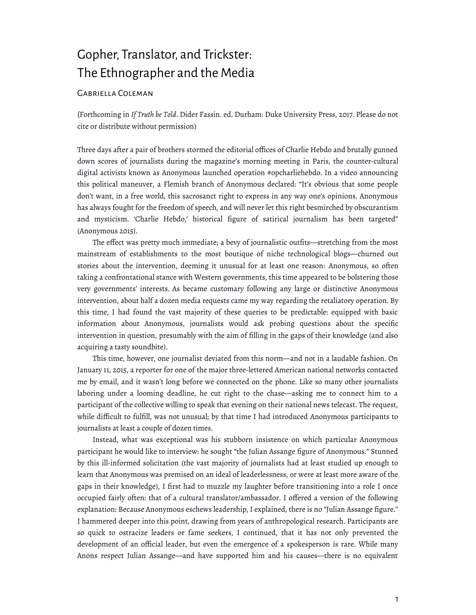# Gopher, Translator, and Trickster: The Ethnographer and the Media

## Gabriella Coleman

(Forthcoming in *If Truth be Told*. Dider Fassin. ed. Durham: Duke University Press, 2017. Please do not cite or distribute without permission)

Three days after a pair of brothers stormed the editorial offices of Charlie Hebdo and brutally gunned down scores of journalists during the magazine's morning meeting in Paris, the counter-cultural digital activists known as Anonymous launched operation #opcharliehebdo. In a video announcing this political maneuver, a Flemish branch of Anonymous declared: "It's obvious that some people don't want, in a free world, this sacrosanct right to express in any way one's opinions. Anonymous has always fought for the freedom of speech, and will never let this right besmirched by obscurantism and mysticism. 'Charlie Hebdo,' historical figure of satirical journalism has been targeted" (Anonymous 2015).

The effect was pretty much immediate; a bevy of journalistic outfits—stretching from the most mainstream of establishments to the most boutique of niche technological blogs—churned out stories about the intervention, deeming it unusual for at least one reason: Anonymous, so often taking a confrontational stance with Western governments, this time appeared to be bolstering those very governments' interests. As became customary following any large or distinctive Anonymous intervention, about half a dozen media requests came my way regarding the retaliatory operation. By this time, I had found the vast majority of these queries to be predictable: equipped with basic information about Anonymous, journalists would ask probing questions about the specific intervention in question, presumably with the aim of filling in the gaps of their knowledge (and also acquiring a tasty soundbite).

This time, however, one journalist deviated from this norm—and not in a laudable fashion. On January 11, 2015, a reporter for one of the major three-lettered American national networks contacted me by email, and it wasn't long before we connected on the phone. Like so many other journalists laboring under a looming deadline, he cut right to the chase—asking me to connect him to a participant of the collective willing to speak that evening on their national news telecast. The request, while difficult to fulfill, was not unusual; by that time I had introduced Anonymous participants to journalists at least a couple of dozen times.

Instead, what was exceptional was his stubborn insistence on which particular Anonymous participant he would like to interview: he sought "the Julian Assange figure of Anonymous." Stunned by this ill-informed solicitation (the vast majority of journalists had at least studied up enough to learn that Anonymous was premised on an ideal of leaderlessness, or were at least more aware of the gaps in their knowledge), I first had to muzzle my laughter before transitioning into a role I once occupied fairly often: that of a cultural translator/ambassador. I offered a version of the following explanation: Because Anonymous eschews leadership, I explained, there is no "Julian Assange figure." I hammered deeper into this point, drawing from years of anthropological research. Participants are so quick to ostracize leaders or fame seekers, I continued, that it has not only prevented the development of an official leader, but even the emergence of a spokesperson is rare. While many Anons respect Julian Assange—and have supported him and his causes—there is no equivalent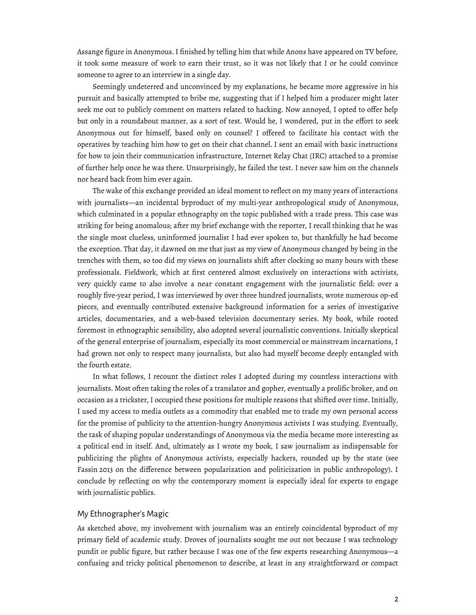Assange figure in Anonymous. I finished by telling him that while Anons have appeared on TV before, it took some measure of work to earn their trust, so it was not likely that I or he could convince someone to agree to an interview in a single day.

Seemingly undeterred and unconvinced by my explanations, he became more aggressive in his pursuit and basically attempted to bribe me, suggesting that if I helped him a producer might later seek me out to publicly comment on matters related to hacking. Now annoyed, I opted to offer help but only in a roundabout manner, as a sort of test. Would he, I wondered, put in the effort to seek Anonymous out for himself, based only on counsel? I offered to facilitate his contact with the operatives by teaching him how to get on their chat channel. I sent an email with basic instructions for how to join their communication infrastructure, Internet Relay Chat (IRC) attached to a promise of further help once he was there. Unsurprisingly, he failed the test. I never saw him on the channels nor heard back from him ever again.

The wake of this exchange provided an ideal moment to reflect on my many years of interactions with journalists—an incidental byproduct of my multi-year anthropological study of Anonymous, which culminated in a popular ethnography on the topic published with a trade press. This case was striking for being anomalous; after my brief exchange with the reporter, I recall thinking that he was the single most clueless, uninformed journalist I had ever spoken to, but thankfully he had become the exception. That day, it dawned on me that just as my view of Anonymous changed by being in the trenches with them, so too did my views on journalists shift after clocking so many hours with these professionals. Fieldwork, which at first centered almost exclusively on interactions with activists, very quickly came to also involve a near constant engagement with the journalistic field: over a roughly five-year period, I was interviewed by over three hundred journalists, wrote numerous op-ed pieces, and eventually contributed extensive background information for a series of investigative articles, documentaries, and a web-based television documentary series. My book, while rooted foremost in ethnographic sensibility, also adopted several journalistic conventions. Initially skeptical of the general enterprise of journalism, especially its most commercial or mainstream incarnations, I had grown not only to respect many journalists, but also had myself become deeply entangled with the fourth estate.

In what follows, I recount the distinct roles I adopted during my countless interactions with journalists. Most often taking the roles of a translator and gopher, eventually a prolific broker, and on occasion as a trickster, I occupied these positions for multiple reasons that shifted over time. Initially, I used my access to media outlets as a commodity that enabled me to trade my own personal access for the promise of publicity to the attention-hungry Anonymous activists I was studying. Eventually, the task of shaping popular understandings of Anonymous via the media became more interesting as a political end in itself. And, ultimately as I wrote my book, I saw journalism as indispensable for publicizing the plights of Anonymous activists, especially hackers, rounded up by the state (see Fassin 2013 on the difference between popularization and politicization in public anthropology). I conclude by reflecting on why the contemporary moment is especially ideal for experts to engage with journalistic publics.

## My Ethnographer's Magic

As sketched above, my involvement with journalism was an entirely coincidental byproduct of my primary field of academic study. Droves of journalists sought me out not because I was technology pundit or public figure, but rather because I was one of the few experts researching Anonymous—a confusing and tricky political phenomenon to describe, at least in any straightforward or compact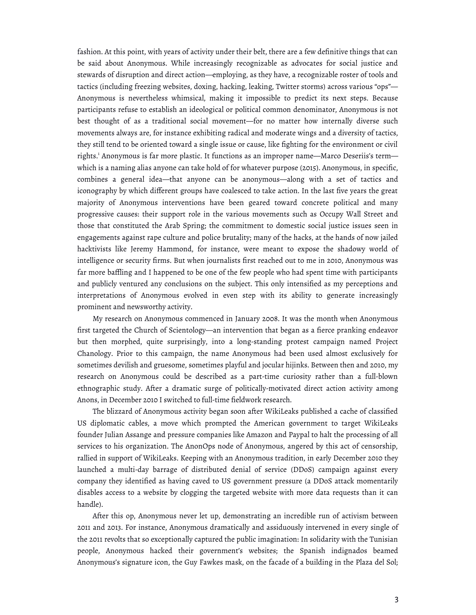fashion. At this point, with years of activity under their belt, there are a few definitive things that can be said about Anonymous. While increasingly recognizable as advocates for social justice and stewards of disruption and direct action—employing, as they have, a recognizable roster of tools and tactics (including freezing websites, doxing, hacking, leaking, Twitter storms) across various "ops"— Anonymous is nevertheless whimsical, making it impossible to predict its next steps. Because participants refuse to establish an ideological or political common denominator, Anonymous is not best thought of as a traditional social movement—for no matter how internally diverse such movements always are, for instance exhibiting radical and moderate wings and a diversity of tactics, they still tend to be oriented toward a single issue or cause, like fighting for the environment or civil rights.<sup>1</sup> Anonymous is far more plastic. It functions as an improper name—Marco Deseriis's term which is a naming alias anyone can take hold of for whatever purpose (2015). Anonymous, in specific, combines a general idea—that anyone can be anonymous—along with a set of tactics and iconography by which different groups have coalesced to take action. In the last five years the great majority of Anonymous interventions have been geared toward concrete political and many progressive causes: their support role in the various movements such as Occupy Wall Street and those that constituted the Arab Spring; the commitment to domestic social justice issues seen in engagements against rape culture and police brutality; many of the hacks, at the hands of now jailed hacktivists like Jeremy Hammond, for instance, were meant to expose the shadowy world of intelligence or security firms. But when journalists first reached out to me in 2010, Anonymous was far more baffling and I happened to be one of the few people who had spent time with participants and publicly ventured any conclusions on the subject. This only intensified as my perceptions and interpretations of Anonymous evolved in even step with its ability to generate increasingly prominent and newsworthy activity.

My research on Anonymous commenced in January 2008. It was the month when Anonymous first targeted the Church of Scientology—an intervention that began as a fierce pranking endeavor but then morphed, quite surprisingly, into a long-standing protest campaign named Project Chanology. Prior to this campaign, the name Anonymous had been used almost exclusively for sometimes devilish and gruesome, sometimes playful and jocular hijinks. Between then and 2010, my research on Anonymous could be described as a part-time curiosity rather than a full-blown ethnographic study. After a dramatic surge of politically-motivated direct action activity among Anons, in December 2010 I switched to full-time fieldwork research.

The blizzard of Anonymous activity began soon after WikiLeaks published a cache of classified US diplomatic cables, a move which prompted the American government to target WikiLeaks founder Julian Assange and pressure companies like Amazon and Paypal to halt the processing of all services to his organization. The AnonOps node of Anonymous, angered by this act of censorship, rallied in support of WikiLeaks. Keeping with an Anonymous tradition, in early December 2010 they launched a multi-day barrage of distributed denial of service (DDoS) campaign against every company they identified as having caved to US government pressure (a DDoS attack momentarily disables access to a website by clogging the targeted website with more data requests than it can handle).

After this op, Anonymous never let up, demonstrating an incredible run of activism between 2011 and 2013. For instance, Anonymous dramatically and assiduously intervened in every single of the 2011 revolts that so exceptionally captured the public imagination: In solidarity with the Tunisian people, Anonymous hacked their government's websites; the Spanish indignados beamed Anonymous's signature icon, the Guy Fawkes mask, on the facade of a building in the Plaza del Sol;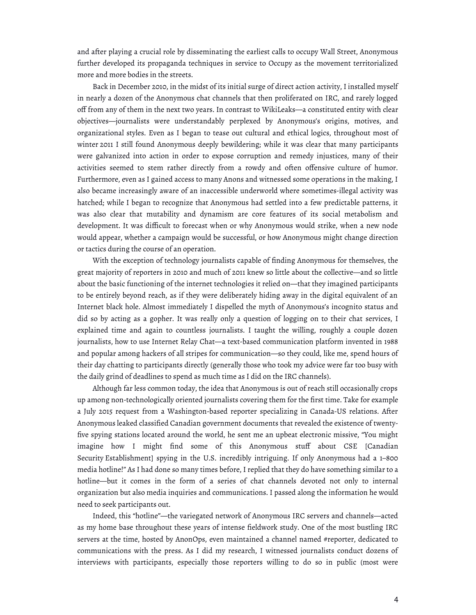and after playing a crucial role by disseminating the earliest calls to occupy Wall Street, Anonymous further developed its propaganda techniques in service to Occupy as the movement territorialized more and more bodies in the streets.

Back in December 2010, in the midst of its initial surge of direct action activity, I installed myself in nearly a dozen of the Anonymous chat channels that then proliferated on IRC, and rarely logged off from any of them in the next two years. In contrast to WikiLeaks—a constituted entity with clear objectives—journalists were understandably perplexed by Anonymous's origins, motives, and organizational styles. Even as I began to tease out cultural and ethical logics, throughout most of winter 2011 I still found Anonymous deeply bewildering; while it was clear that many participants were galvanized into action in order to expose corruption and remedy injustices, many of their activities seemed to stem rather directly from a rowdy and often offensive culture of humor. Furthermore, even as I gained access to many Anons and witnessed some operations in the making, I also became increasingly aware of an inaccessible underworld where sometimes-illegal activity was hatched; while I began to recognize that Anonymous had settled into a few predictable patterns, it was also clear that mutability and dynamism are core features of its social metabolism and development. It was difficult to forecast when or why Anonymous would strike, when a new node would appear, whether a campaign would be successful, or how Anonymous might change direction or tactics during the course of an operation.

With the exception of technology journalists capable of finding Anonymous for themselves, the great majority of reporters in 2010 and much of 2011 knew so little about the collective—and so little about the basic functioning of the internet technologies it relied on—that they imagined participants to be entirely beyond reach, as if they were deliberately hiding away in the digital equivalent of an Internet black hole. Almost immediately I dispelled the myth of Anonymous's incognito status and did so by acting as a gopher. It was really only a question of logging on to their chat services, I explained time and again to countless journalists. I taught the willing, roughly a couple dozen journalists, how to use Internet Relay Chat—a text-based communication platform invented in 1988 and popular among hackers of all stripes for communication—so they could, like me, spend hours of their day chatting to participants directly (generally those who took my advice were far too busy with the daily grind of deadlines to spend as much time as I did on the IRC channels).

Although far less common today, the idea that Anonymous is out of reach still occasionally crops up among non-technologically oriented journalists covering them for the first time. Take for example a July 2015 request from a Washington-based reporter specializing in Canada-US relations. After Anonymous leaked classified Canadian government documents that revealed the existence of twentyfive spying stations located around the world, he sent me an upbeat electronic missive, "You might imagine how I might find some of this Anonymous stuff about CSE [Canadian Security Establishment] spying in the U.S. incredibly intriguing. If only Anonymous had a 1–800 media hotline!" As I had done so many times before, I replied that they do have something similar to a hotline—but it comes in the form of a series of chat channels devoted not only to internal organization but also media inquiries and communications. I passed along the information he would need to seek participants out.

Indeed, this "hotline"—the variegated network of Anonymous IRC servers and channels—acted as my home base throughout these years of intense fieldwork study. One of the most bustling IRC servers at the time, hosted by AnonOps, even maintained a channel named #reporter, dedicated to communications with the press. As I did my research, I witnessed journalists conduct dozens of interviews with participants, especially those reporters willing to do so in public (most were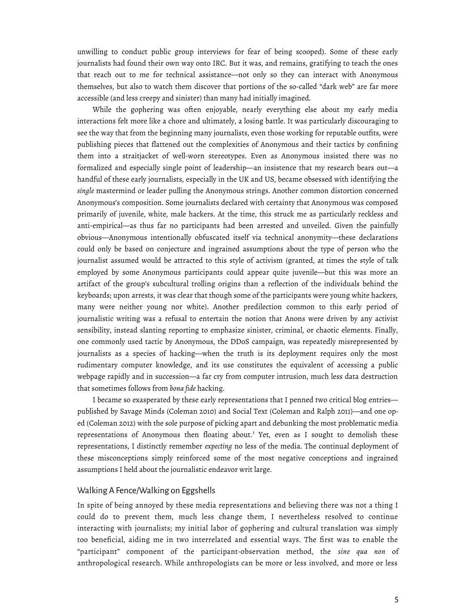unwilling to conduct public group interviews for fear of being scooped). Some of these early journalists had found their own way onto IRC. But it was, and remains, gratifying to teach the ones that reach out to me for technical assistance—not only so they can interact with Anonymous themselves, but also to watch them discover that portions of the so-called "dark web" are far more accessible (and less creepy and sinister) than many had initially imagined.

While the gophering was often enjoyable, nearly everything else about my early media interactions felt more like a chore and ultimately, a losing battle. It was particularly discouraging to see the way that from the beginning many journalists, even those working for reputable outfits, were publishing pieces that flattened out the complexities of Anonymous and their tactics by confining them into a straitjacket of well-worn stereotypes. Even as Anonymous insisted there was no formalized and especially single point of leadership—an insistence that my research bears out—a handful of these early journalists, especially in the UK and US, became obsessed with identifying the *single* mastermind or leader pulling the Anonymous strings. Another common distortion concerned Anonymous's composition. Some journalists declared with certainty that Anonymous was composed primarily of juvenile, white, male hackers. At the time, this struck me as particularly reckless and anti-empirical—as thus far no participants had been arrested and unveiled. Given the painfully obvious—Anonymous intentionally obfuscated itself via technical anonymity—these declarations could only be based on conjecture and ingrained assumptions about the type of person who the journalist assumed would be attracted to this style of activism (granted, at times the style of talk employed by some Anonymous participants could appear quite juvenile—but this was more an artifact of the group's subcultural trolling origins than a reflection of the individuals behind the keyboards; upon arrests, it was clear that though some of the participants were young white hackers, many were neither young nor white). Another predilection common to this early period of journalistic writing was a refusal to entertain the notion that Anons were driven by any activist sensibility, instead slanting reporting to emphasize sinister, criminal, or chaotic elements. Finally, one commonly used tactic by Anonymous, the DDoS campaign, was repeatedly misrepresented by journalists as a species of hacking—when the truth is its deployment requires only the most rudimentary computer knowledge, and its use constitutes the equivalent of accessing a public webpage rapidly and in succession—a far cry from computer intrusion, much less data destruction that sometimes follows from *bona fide* hacking.

I became so exasperated by these early representations that I penned two critical blog entries published by Savage Minds (Coleman 2010) and Social Text (Coleman and Ralph 2011)—and one oped (Coleman 2012) with the sole purpose of picking apart and debunking the most problematic media representations of Anonymous then floating about.<sup>3</sup> Yet, even as I sought to demolish these representations, I distinctly remember *expecting* no less of the media. The continual deployment of these misconceptions simply reinforced some of the most negative conceptions and ingrained assumptions I held about the journalistic endeavor writ large.

#### Walking A Fence/Walking on Eggshells

In spite of being annoyed by these media representations and believing there was not a thing I could do to prevent them, much less change them, I nevertheless resolved to continue interacting with journalists; my initial labor of gophering and cultural translation was simply too beneficial, aiding me in two interrelated and essential ways. The first was to enable the "participant" component of the participant-observation method, the *sine qua non* of anthropological research. While anthropologists can be more or less involved, and more or less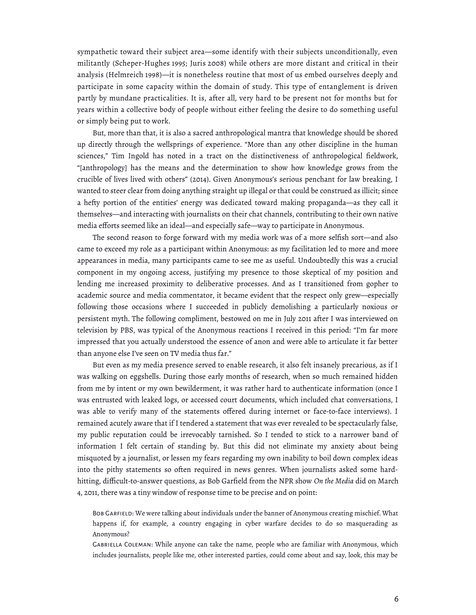sympathetic toward their subject area—some identify with their subjects unconditionally, even militantly (Scheper-Hughes 1995; Juris 2008) while others are more distant and critical in their analysis (Helmreich 1998)—it is nonetheless routine that most of us embed ourselves deeply and participate in some capacity within the domain of study. This type of entanglement is driven partly by mundane practicalities. It is, after all, very hard to be present not for months but for years within a collective body of people without either feeling the desire to do something useful or simply being put to work.

But, more than that, it is also a sacred anthropological mantra that knowledge should be shored up directly through the wellsprings of experience. "More than any other discipline in the human sciences," Tim Ingold has noted in a tract on the distinctiveness of anthropological fieldwork, "[anthropology] has the means and the determination to show how knowledge grows from the crucible of lives lived with others" (2014). Given Anonymous's serious penchant for law breaking, I wanted to steer clear from doing anything straight up illegal or that could be construed as illicit; since a hefty portion of the entities' energy was dedicated toward making propaganda—as they call it themselves—and interacting with journalists on their chat channels, contributing to their own native media efforts seemed like an ideal—and especially safe—way to participate in Anonymous.

The second reason to forge forward with my media work was of a more selfish sort—and also came to exceed my role as a participant within Anonymous: as my facilitation led to more and more appearances in media, many participants came to see me as useful. Undoubtedly this was a crucial component in my ongoing access, justifying my presence to those skeptical of my position and lending me increased proximity to deliberative processes. And as I transitioned from gopher to academic source and media commentator, it became evident that the respect only grew—especially following those occasions where I succeeded in publicly demolishing a particularly noxious or persistent myth. The following compliment, bestowed on me in July 2011 after I was interviewed on television by PBS, was typical of the Anonymous reactions I received in this period: "I'm far more impressed that you actually understood the essence of anon and were able to articulate it far better than anyone else I've seen on TV media thus far."

But even as my media presence served to enable research, it also felt insanely precarious, as if I was walking on eggshells. During those early months of research, when so much remained hidden from me by intent or my own bewilderment, it was rather hard to authenticate information (once I was entrusted with leaked logs, or accessed court documents, which included chat conversations, I was able to verify many of the statements offered during internet or face-to-face interviews). I remained acutely aware that if I tendered a statement that was ever revealed to be spectacularly false, my public reputation could be irrevocably tarnished. So I tended to stick to a narrower band of information I felt certain of standing by. But this did not eliminate my anxiety about being misquoted by a journalist, or lessen my fears regarding my own inability to boil down complex ideas into the pithy statements so often required in news genres. When journalists asked some hardhitting, difficult-to-answer questions, as Bob Garfield from the NPR show *On the Media* did on March 4, 2011, there was a tiny window of response time to be precise and on point:

Bob Garfield: We were talking about individuals under the banner of Anonymous creating mischief. What happens if, for example, a country engaging in cyber warfare decides to do so masquerading as Anonymous?

Gabriella Coleman: While anyone can take the name, people who are familiar with Anonymous, which includes journalists, people like me, other interested parties, could come about and say, look, this may be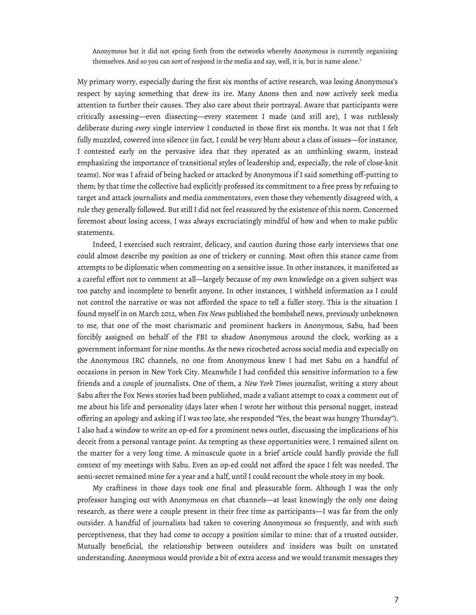Anonymous but it did not spring forth from the networks whereby Anonymous is currently organizing themselves. And so you can sort of respond in the media and say, well, it is, but in name alone.<sup>2</sup>

My primary worry, especially during the first six months of active research, was losing Anonymous's respect by saying something that drew its ire. Many Anons then and now actively seek media attention to further their causes. They also care about their portrayal. Aware that participants were critically assessing—even dissecting—every statement I made (and still are), I was ruthlessly deliberate during *every* single interview I conducted in those first six months. It was not that I felt fully muzzled, cowered into silence (in fact, I could be very blunt about a class of issues—for instance, I contested early on the pervasive idea that they operated as an unthinking swarm, instead emphasizing the importance of transitional styles of leadership and, especially, the role of close-knit teams). Nor was I afraid of being hacked or attacked by Anonymous if I said something off-putting to them; by that time the collective had explicitly professed its commitment to a free press by refusing to target and attack journalists and media commentators, even those they vehemently disagreed with, a rule they generally followed. But still I did not feel reassured by the existence of this norm. Concerned foremost about losing access, I was always excruciatingly mindful of how and when to make public statements.

Indeed, I exercised such restraint, delicacy, and caution during those early interviews that one could almost describe my position as one of trickery or cunning. Most often this stance came from attempts to be diplomatic when commenting on a sensitive issue. In other instances, it manifested as a careful effort not to comment at all—largely because of my own knowledge on a given subject was too patchy and incomplete to benefit anyone. In other instances, I withheld information as I could not control the narrative or was not afforded the space to tell a fuller story. This is the situation I found myself in on March 2012, when *Fox News* published the bombshell news, previously unbeknown to me, that one of the most charismatic and prominent hackers in Anonymous, Sabu, had been forcibly assigned on behalf of the FBI to shadow Anonymous around the clock, working as a government informant for nine months. As the news ricocheted across social media and especially on the Anonymous IRC channels, no one from Anonymous knew I had met Sabu on a handful of occasions in person in New York City. Meanwhile I had confided this sensitive information to a few friends and a couple of journalists. One of them, a *New York Times* journalist, writing a story about Sabu after the Fox News stories had been published, made a valiant attempt to coax a comment out of me about his life and personality (days later when I wrote her without this personal nugget, instead offering an apology and asking if I was too late, she responded "Yes, the beast was hungry Thursday"). I also had a window to write an op-ed for a prominent news outlet, discussing the implications of his deceit from a personal vantage point. As tempting as these opportunities were, I remained silent on the matter for a very long time. A minuscule quote in a brief article could hardly provide the full context of my meetings with Sabu. Even an op-ed could not afford the space I felt was needed. The semi-secret remained mine for a year and a half, until I could recount the whole story in my book.

My craftiness in those days took one final and pleasurable form. Although I was the only professor hanging out with Anonymous on chat channels—at least knowingly the only one doing research, as there were a couple present in their free time as participants—I was far from the only outsider. A handful of journalists had taken to covering Anonymous so frequently, and with such perceptiveness, that they had come to occupy a position similar to mine: that of a trusted outsider. Mutually beneficial, the relationship between outsiders and insiders was built on unstated understanding. Anonymous would provide a bit of extra access and we would transmit messages they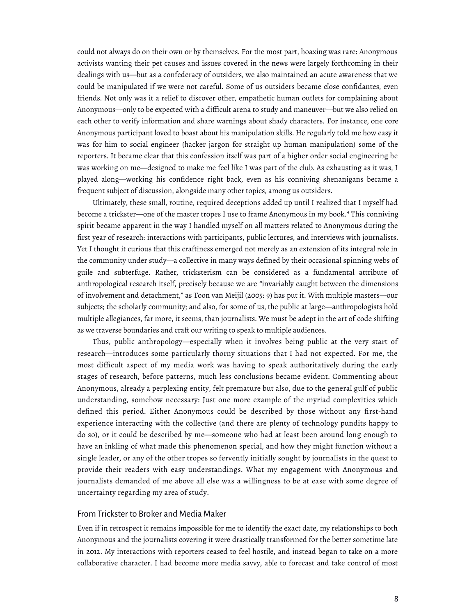could not always do on their own or by themselves. For the most part, hoaxing was rare: Anonymous activists wanting their pet causes and issues covered in the news were largely forthcoming in their dealings with us—but as a confederacy of outsiders, we also maintained an acute awareness that we could be manipulated if we were not careful. Some of us outsiders became close confidantes, even friends. Not only was it a relief to discover other, empathetic human outlets for complaining about Anonymous—only to be expected with a difficult arena to study and maneuver—but we also relied on each other to verify information and share warnings about shady characters. For instance, one core Anonymous participant loved to boast about his manipulation skills. He regularly told me how easy it was for him to social engineer (hacker jargon for straight up human manipulation) some of the reporters. It became clear that this confession itself was part of a higher order social engineering he was working on me—designed to make me feel like I was part of the club. As exhausting as it was, I played along—working his confidence right back, even as his conniving shenanigans became a frequent subject of discussion, alongside many other topics, among us outsiders.

Ultimately, these small, routine, required deceptions added up until I realized that I myself had become a trickster—one of the master tropes I use to frame Anonymous in my book.<sup>4</sup> This conniving spirit became apparent in the way I handled myself on all matters related to Anonymous during the first year of research: interactions with participants, public lectures, and interviews with journalists. Yet I thought it curious that this craftiness emerged not merely as an extension of its integral role in the community under study—a collective in many ways defined by their occasional spinning webs of guile and subterfuge. Rather, tricksterism can be considered as a fundamental attribute of anthropological research itself, precisely because we are "invariably caught between the dimensions of involvement and detachment," as Toon van Meijil (2005: 9) has put it. With multiple masters—our subjects; the scholarly community; and also, for some of us, the public at large—anthropologists hold multiple allegiances, far more, it seems, than journalists. We must be adept in the art of code shifting as we traverse boundaries and craft our writing to speak to multiple audiences.

Thus, public anthropology—especially when it involves being public at the very start of research—introduces some particularly thorny situations that I had not expected. For me, the most difficult aspect of my media work was having to speak authoritatively during the early stages of research, before patterns, much less conclusions became evident. Commenting about Anonymous, already a perplexing entity, felt premature but also, due to the general gulf of public understanding, somehow necessary: Just one more example of the myriad complexities which defined this period. Either Anonymous could be described by those without any first-hand experience interacting with the collective (and there are plenty of technology pundits happy to do so), or it could be described by me—someone who had at least been around long enough to have an inkling of what made this phenomenon special, and how they might function without a single leader, or any of the other tropes so fervently initially sought by journalists in the quest to provide their readers with easy understandings. What my engagement with Anonymous and journalists demanded of me above all else was a willingness to be at ease with some degree of uncertainty regarding my area of study.

## From Trickster to Broker and Media Maker

Even if in retrospect it remains impossible for me to identify the exact date, my relationships to both Anonymous and the journalists covering it were drastically transformed for the better sometime late in 2012. My interactions with reporters ceased to feel hostile, and instead began to take on a more collaborative character. I had become more media savvy, able to forecast and take control of most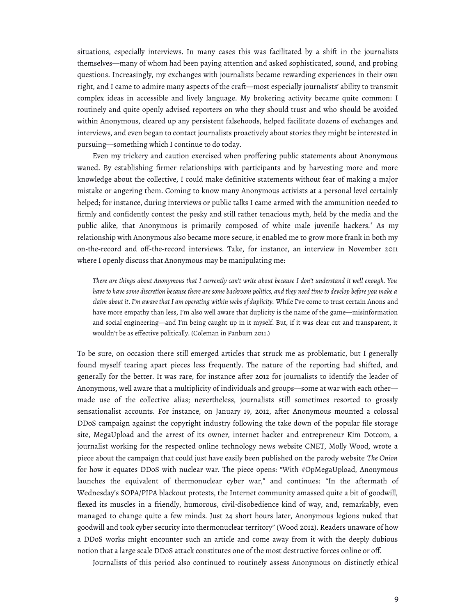situations, especially interviews. In many cases this was facilitated by a shift in the journalists themselves—many of whom had been paying attention and asked sophisticated, sound, and probing questions. Increasingly, my exchanges with journalists became rewarding experiences in their own right, and I came to admire many aspects of the craft—most especially journalists' ability to transmit complex ideas in accessible and lively language. My brokering activity became quite common: I routinely and quite openly advised reporters on who they should trust and who should be avoided within Anonymous, cleared up any persistent falsehoods, helped facilitate dozens of exchanges and interviews, and even began to contact journalists proactively about stories they might be interested in pursuing—something which I continue to do today.

Even my trickery and caution exercised when proffering public statements about Anonymous waned. By establishing firmer relationships with participants and by harvesting more and more knowledge about the collective, I could make definitive statements without fear of making a major mistake or angering them. Coming to know many Anonymous activists at a personal level certainly helped; for instance, during interviews or public talks I came armed with the ammunition needed to firmly and confidently contest the pesky and still rather tenacious myth, held by the media and the public alike, that Anonymous is primarily composed of white male juvenile hackers.<sup>5</sup> As my relationship with Anonymous also became more secure, it enabled me to grow more frank in both my on-the-record and off-the-record interviews. Take, for instance, an interview in November 2011 where I openly discuss that Anonymous may be manipulating me:

*There are things about Anonymous that I currently can't write about because I don't understand it well enough. You have to have some discretion because there are some backroom politics, and they need time to develop before you make a claim about it*. *I'm aware that I am operating within webs of duplicity.* While I've come to trust certain Anons and have more empathy than less, I'm also well aware that duplicity is the name of the game—misinformation and social engineering—and I'm being caught up in it myself. But, if it was clear cut and transparent, it wouldn't be as effective politically. (Coleman in Panburn 2011.)

To be sure, on occasion there still emerged articles that struck me as problematic, but I generally found myself tearing apart pieces less frequently. The nature of the reporting had shifted, and generally for the better. It was rare, for instance after 2012 for journalists to identify the leader of Anonymous, well aware that a multiplicity of individuals and groups—some at war with each other made use of the collective alias; nevertheless, journalists still sometimes resorted to grossly sensationalist accounts. For instance, on January 19, 2012, after Anonymous mounted a colossal DDoS campaign against the copyright industry following the take down of the popular file storage site, MegaUpload and the arrest of its owner, internet hacker and entrepreneur Kim Dotcom, a journalist working for the respected online technology news website CNET, Molly Wood, wrote a piece about the campaign that could just have easily been published on the parody website *The Onion* for how it equates DDoS with nuclear war. The piece opens: "With #OpMegaUpload, Anonymous launches the equivalent of thermonuclear cyber war," and continues: "In the aftermath of Wednesday's SOPA/PIPA blackout protests, the Internet community amassed quite a bit of goodwill, flexed its muscles in a friendly, humorous, civil-disobedience kind of way, and, remarkably, even managed to change quite a few minds. Just 24 short hours later, Anonymous legions nuked that goodwill and took cyber security into thermonuclear territory" (Wood 2012). Readers unaware of how a DDoS works might encounter such an article and come away from it with the deeply dubious notion that a large scale DDoS attack constitutes one of the most destructive forces online or off.

Journalists of this period also continued to routinely assess Anonymous on distinctly ethical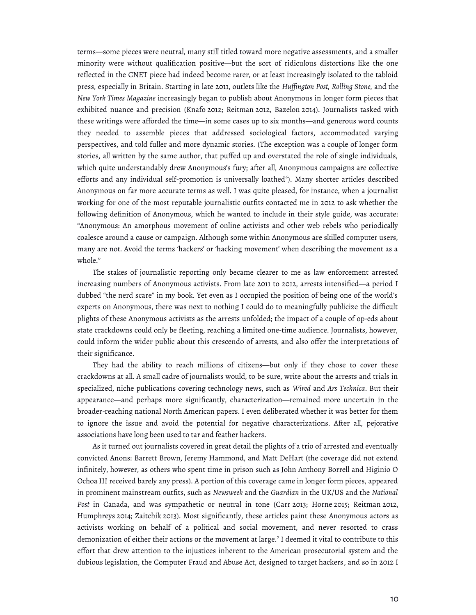terms—some pieces were neutral, many still titled toward more negative assessments, and a smaller minority were without qualification positive—but the sort of ridiculous distortions like the one reflected in the CNET piece had indeed become rarer, or at least increasingly isolated to the tabloid press, especially in Britain. Starting in late 2011, outlets like the *Huffington Post, Rolling Stone,* and the *New York Times Magazine* increasingly began to publish about Anonymous in longer form pieces that exhibited nuance and precision (Knafo 2012; Reitman 2012, Bazelon 2014). Journalists tasked with these writings were afforded the time—in some cases up to six months—and generous word counts they needed to assemble pieces that addressed sociological factors, accommodated varying perspectives, and told fuller and more dynamic stories. (The exception was a couple of longer form stories, all written by the same author, that puffed up and overstated the role of single individuals, which quite understandably drew Anonymous's fury; after all, Anonymous campaigns are collective efforts and any individual self-promotion is universally loathed<sup>6</sup>). Many shorter articles described Anonymous on far more accurate terms as well. I was quite pleased, for instance, when a journalist working for one of the most reputable journalistic outfits contacted me in 2012 to ask whether the following definition of Anonymous, which he wanted to include in their style guide, was accurate: "Anonymous: An amorphous movement of online activists and other web rebels who periodically coalesce around a cause or campaign. Although some within Anonymous are skilled computer users, many are not. Avoid the terms 'hackers' or 'hacking movement' when describing the movement as a whole."

The stakes of journalistic reporting only became clearer to me as law enforcement arrested increasing numbers of Anonymous activists. From late 2011 to 2012, arrests intensified—a period I dubbed "the nerd scare" in my book. Yet even as I occupied the position of being one of the world's experts on Anonymous, there was next to nothing I could do to meaningfully publicize the difficult plights of these Anonymous activists as the arrests unfolded; the impact of a couple of op-eds about state crackdowns could only be fleeting, reaching a limited one-time audience. Journalists, however, could inform the wider public about this crescendo of arrests, and also offer the interpretations of their significance.

They had the ability to reach millions of citizens—but only if they chose to cover these crackdowns at all. A small cadre of journalists would, to be sure, write about the arrests and trials in specialized, niche publications covering technology news, such as *Wired* and *Ars Technica*. But their appearance—and perhaps more significantly, characterization—remained more uncertain in the broader-reaching national North American papers. I even deliberated whether it was better for them to ignore the issue and avoid the potential for negative characterizations. After all, pejorative associations have long been used to tar and feather hackers.

As it turned out journalists covered in great detail the plights of a trio of arrested and eventually convicted Anons: Barrett Brown, Jeremy Hammond, and Matt DeHart (the coverage did not extend infinitely, however, as others who spent time in prison such as John Anthony Borrell and Higinio O Ochoa III received barely any press). A portion of this coverage came in longer form pieces, appeared in prominent mainstream outfits, such as *Newsweek* and the *Guardian* in the UK/US and the *National Post* in Canada, and was sympathetic or neutral in tone (Carr 2013; Horne 2015; Reitman 2012, Humphreys 2014; Zaitchik 2013). Most significantly, these articles paint these Anonymous actors as activists working on behalf of a political and social movement, and never resorted to crass demonization of either their actions or the movement at large.<sup>7</sup> I deemed it vital to contribute to this effort that drew attention to the injustices inherent to the American prosecutorial system and the dubious legislation, the Computer Fraud and Abuse Act, designed to target hackers, and so in 2012 I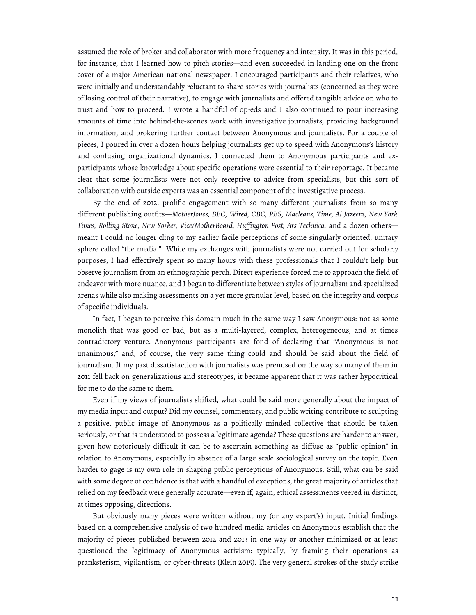assumed the role of broker and collaborator with more frequency and intensity. It was in this period, for instance, that I learned how to pitch stories—and even succeeded in landing one on the front cover of a major American national newspaper. I encouraged participants and their relatives, who were initially and understandably reluctant to share stories with journalists (concerned as they were of losing control of their narrative), to engage with journalists and offered tangible advice on who to trust and how to proceed. I wrote a handful of op-eds and I also continued to pour increasing amounts of time into behind-the-scenes work with investigative journalists, providing background information, and brokering further contact between Anonymous and journalists. For a couple of pieces, I poured in over a dozen hours helping journalists get up to speed with Anonymous's history and confusing organizational dynamics. I connected them to Anonymous participants and exparticipants whose knowledge about specific operations were essential to their reportage. It became clear that some journalists were not only receptive to advice from specialists, but this sort of collaboration with outside experts was an essential component of the investigative process.

By the end of 2012, prolific engagement with so many different journalists from so many different publishing outfits—*MotherJones, BBC, Wired, CBC, PBS, Macleans, Time, Al Jazeera, New York Times, Rolling Stone, New Yorker, Vice/MotherBoard, Huffington Post, Ars Technica,* and a dozen others meant I could no longer cling to my earlier facile perceptions of some singularly oriented, unitary sphere called "the media." While my exchanges with journalists were not carried out for scholarly purposes, I had effectively spent so many hours with these professionals that I couldn't help but observe journalism from an ethnographic perch. Direct experience forced me to approach the field of endeavor with more nuance, and I began to differentiate between styles of journalism and specialized arenas while also making assessments on a yet more granular level, based on the integrity and corpus of specific individuals.

In fact, I began to perceive this domain much in the same way I saw Anonymous: not as some monolith that was good or bad, but as a multi-layered, complex, heterogeneous, and at times contradictory venture. Anonymous participants are fond of declaring that "Anonymous is not unanimous," and, of course, the very same thing could and should be said about the field of journalism. If my past dissatisfaction with journalists was premised on the way so many of them in 2011 fell back on generalizations and stereotypes, it became apparent that it was rather hypocritical for me to do the same to them.

Even if my views of journalists shifted, what could be said more generally about the impact of my media input and output? Did my counsel, commentary, and public writing contribute to sculpting a positive, public image of Anonymous as a politically minded collective that should be taken seriously, or that is understood to possess a legitimate agenda? These questions are harder to answer, given how notoriously difficult it can be to ascertain something as diffuse as "public opinion" in relation to Anonymous, especially in absence of a large scale sociological survey on the topic. Even harder to gage is my own role in shaping public perceptions of Anonymous. Still, what can be said with some degree of confidence is that with a handful of exceptions, the great majority of articles that relied on my feedback were generally accurate—even if, again, ethical assessments veered in distinct, at times opposing, directions.

But obviously many pieces were written without my (or any expert's) input. Initial findings based on a comprehensive analysis of two hundred media articles on Anonymous establish that the majority of pieces published between 2012 and 2013 in one way or another minimized or at least questioned the legitimacy of Anonymous activism: typically, by framing their operations as pranksterism, vigilantism, or cyber-threats (Klein 2015). The very general strokes of the study strike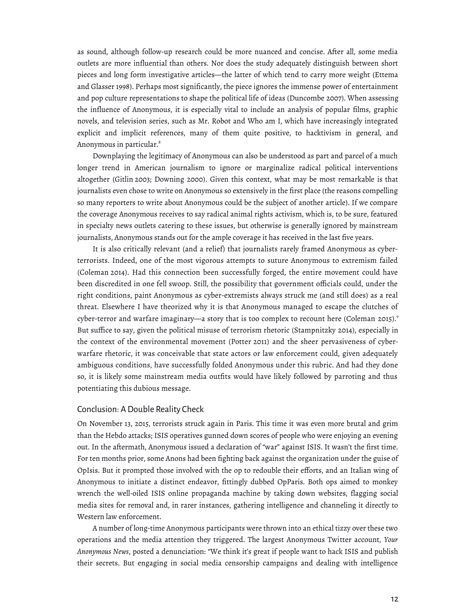as sound, although follow-up research could be more nuanced and concise. After all, some media outlets are more influential than others. Nor does the study adequately distinguish between short pieces and long form investigative articles—the latter of which tend to carry more weight (Ettema and Glasser 1998). Perhaps most significantly, the piece ignores the immense power of entertainment and pop culture representations to shape the political life of ideas (Duncombe 2007). When assessing the influence of Anonymous, it is especially vital to include an analysis of popular films, graphic novels, and television series, such as Mr. Robot and Who am I, which have increasingly integrated explicit and implicit references, many of them quite positive, to hacktivism in general, and Anonymous in particular.<sup>8</sup>

Downplaying the legitimacy of Anonymous can also be understood as part and parcel of a much longer trend in American journalism to ignore or marginalize radical political interventions altogether (Gitlin 2003; Downing 2000). Given this context, what may be most remarkable is that journalists even chose to write on Anonymous so extensively in the first place (the reasons compelling so many reporters to write about Anonymous could be the subject of another article). If we compare the coverage Anonymous receives to say radical animal rights activism, which is, to be sure, featured in specialty news outlets catering to these issues, but otherwise is generally ignored by mainstream journalists, Anonymous stands out for the ample coverage it has received in the last five years.

It is also critically relevant (and a relief) that journalists rarely framed Anonymous as cyberterrorists. Indeed, one of the most vigorous attempts to suture Anonymous to extremism failed (Coleman 2014). Had this connection been successfully forged, the entire movement could have been discredited in one fell swoop. Still, the possibility that government officials could, under the right conditions, paint Anonymous as cyber-extremists always struck me (and still does) as a real threat. Elsewhere I have theorized why it is that Anonymous managed to escape the clutches of cyber-terror and warfare imaginary—a story that is too complex to recount here (Coleman 2015). $\degree$ But suffice to say, given the political misuse of terrorism rhetoric (Stampnitzky 2014), especially in the context of the environmental movement (Potter 2011) and the sheer pervasiveness of cyberwarfare rhetoric, it was conceivable that state actors or law enforcement could, given adequately ambiguous conditions, have successfully folded Anonymous under this rubric. And had they done so, it is likely some mainstream media outfits would have likely followed by parroting and thus potentiating this dubious message.

## Conclusion: A Double Reality Check

On November 13, 2015, terrorists struck again in Paris. This time it was even more brutal and grim than the Hebdo attacks; ISIS operatives gunned down scores of people who were enjoying an evening out. In the aftermath, Anonymous issued a declaration of "war" against ISIS. It wasn't the first time. For ten months prior, some Anons had been fighting back against the organization under the guise of OpIsis. But it prompted those involved with the op to redouble their efforts, and an Italian wing of Anonymous to initiate a distinct endeavor, fittingly dubbed OpParis. Both ops aimed to monkey wrench the well-oiled ISIS online propaganda machine by taking down websites, flagging social media sites for removal and, in rarer instances, gathering intelligence and channeling it directly to Western law enforcement.

A number of long-time Anonymous participants were thrown into an ethical tizzy over these two operations and the media attention they triggered. The largest Anonymous Twitter account, *Your Anonymous News*, posted a denunciation: "We think it's great if people want to hack ISIS and publish their secrets. But engaging in social media censorship campaigns and dealing with intelligence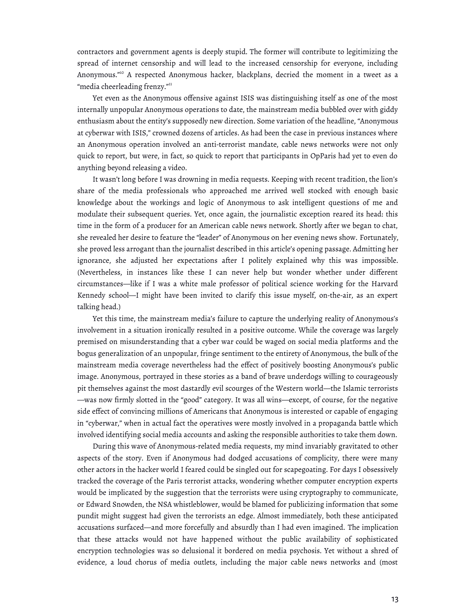contractors and government agents is deeply stupid. The former will contribute to legitimizing the spread of internet censorship and will lead to the increased censorship for everyone, including Anonymous."<sup>10</sup> A respected Anonymous hacker, blackplans, decried the moment in a tweet as a "media cheerleading frenzy."<sup>11</sup>

Yet even as the Anonymous offensive against ISIS was distinguishing itself as one of the most internally unpopular Anonymous operations to date, the mainstream media bubbled over with giddy enthusiasm about the entity's supposedly new direction. Some variation of the headline, "Anonymous at cyberwar with ISIS," crowned dozens of articles. As had been the case in previous instances where an Anonymous operation involved an anti-terrorist mandate, cable news networks were not only quick to report, but were, in fact, so quick to report that participants in OpParis had yet to even do anything beyond releasing a video.

It wasn't long before I was drowning in media requests. Keeping with recent tradition, the lion's share of the media professionals who approached me arrived well stocked with enough basic knowledge about the workings and logic of Anonymous to ask intelligent questions of me and modulate their subsequent queries. Yet, once again, the journalistic exception reared its head: this time in the form of a producer for an American cable news network. Shortly after we began to chat, she revealed her desire to feature the "leader" of Anonymous on her evening news show. Fortunately, she proved less arrogant than the journalist described in this article's opening passage. Admitting her ignorance, she adjusted her expectations after I politely explained why this was impossible. (Nevertheless, in instances like these I can never help but wonder whether under different circumstances—like if I was a white male professor of political science working for the Harvard Kennedy school—I might have been invited to clarify this issue myself, on-the-air, as an expert talking head.)

Yet this time, the mainstream media's failure to capture the underlying reality of Anonymous's involvement in a situation ironically resulted in a positive outcome. While the coverage was largely premised on misunderstanding that a cyber war could be waged on social media platforms and the bogus generalization of an unpopular, fringe sentiment to the entirety of Anonymous, the bulk of the mainstream media coverage nevertheless had the effect of positively boosting Anonymous's public image. Anonymous, portrayed in these stories as a band of brave underdogs willing to courageously pit themselves against the most dastardly evil scourges of the Western world—the Islamic terrorists —was now firmly slotted in the "good" category. It was all wins—except, of course, for the negative side effect of convincing millions of Americans that Anonymous is interested or capable of engaging in "cyberwar," when in actual fact the operatives were mostly involved in a propaganda battle which involved identifying social media accounts and asking the responsible authorities to take them down.

During this wave of Anonymous-related media requests, my mind invariably gravitated to other aspects of the story. Even if Anonymous had dodged accusations of complicity, there were many other actors in the hacker world I feared could be singled out for scapegoating. For days I obsessively tracked the coverage of the Paris terrorist attacks, wondering whether computer encryption experts would be implicated by the suggestion that the terrorists were using cryptography to communicate, or Edward Snowden, the NSA whistleblower, would be blamed for publicizing information that some pundit might suggest had given the terrorists an edge. Almost immediately, both these anticipated accusations surfaced—and more forcefully and absurdly than I had even imagined. The implication that these attacks would not have happened without the public availability of sophisticated encryption technologies was so delusional it bordered on media psychosis. Yet without a shred of evidence, a loud chorus of media outlets, including the major cable news networks and (most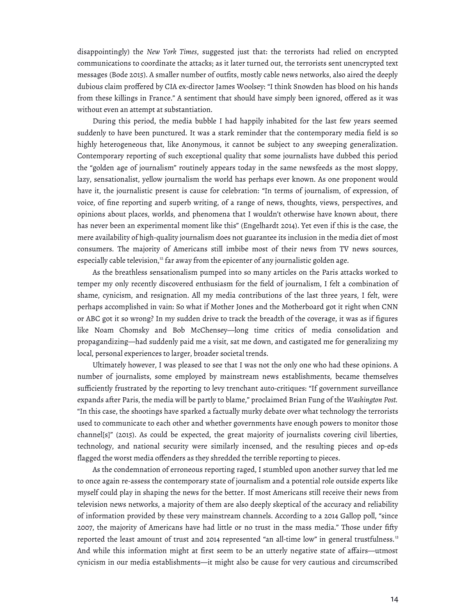disappointingly) the *New York Times*, suggested just that: the terrorists had relied on encrypted communications to coordinate the attacks; as it later turned out, the terrorists sent unencrypted text messages (Bode 2015). A smaller number of outfits, mostly cable news networks, also aired the deeply dubious claim proffered by CIA ex-director James Woolsey: "I think Snowden has blood on his hands from these killings in France." A sentiment that should have simply been ignored, offered as it was without even an attempt at substantiation.

During this period, the media bubble I had happily inhabited for the last few years seemed suddenly to have been punctured. It was a stark reminder that the contemporary media field is so highly heterogeneous that, like Anonymous, it cannot be subject to any sweeping generalization. Contemporary reporting of such exceptional quality that some journalists have dubbed this period the "golden age of journalism" routinely appears today in the same newsfeeds as the most sloppy, lazy, sensationalist, yellow journalism the world has perhaps ever known. As one proponent would have it, the journalistic present is cause for celebration: "In terms of journalism, of expression, of voice, of fine reporting and superb writing, of a range of news, thoughts, views, perspectives, and opinions about places, worlds, and phenomena that I wouldn't otherwise have known about, there has never been an experimental moment like this" (Engelhardt 2014). Yet even if this is the case, the mere availability of high-quality journalism does not guarantee its inclusion in the media diet of most consumers. The majority of Americans still imbibe most of their news from TV news sources, especially cable television, $12$  far away from the epicenter of any journalistic golden age.

As the breathless sensationalism pumped into so many articles on the Paris attacks worked to temper my only recently discovered enthusiasm for the field of journalism, I felt a combination of shame, cynicism, and resignation. All my media contributions of the last three years, I felt, were perhaps accomplished in vain: So what if Mother Jones and the Motherboard got it right when CNN or ABC got it so wrong? In my sudden drive to track the breadth of the coverage, it was as if figures like Noam Chomsky and Bob McChensey—long time critics of media consolidation and propagandizing—had suddenly paid me a visit, sat me down, and castigated me for generalizing my local, personal experiences to larger, broader societal trends.

Ultimately however, I was pleased to see that I was not the only one who had these opinions. A number of journalists, some employed by mainstream news establishments, became themselves sufficiently frustrated by the reporting to levy trenchant auto-critiques: "If government surveillance expands after Paris, the media will be partly to blame," proclaimed Brian Fung of the *Washington Post.* "In this case, the shootings have sparked a factually murky debate over what technology the terrorists used to communicate to each other and whether governments have enough powers to monitor those channel[s]" (2015). As could be expected, the great majority of journalists covering civil liberties, technology, and national security were similarly incensed, and the resulting pieces and op-eds flagged the worst media offenders as they shredded the terrible reporting to pieces.

As the condemnation of erroneous reporting raged, I stumbled upon another survey that led me to once again re-assess the contemporary state of journalism and a potential role outside experts like myself could play in shaping the news for the better. If most Americans still receive their news from television news networks, a majority of them are also deeply skeptical of the accuracy and reliability of information provided by these very mainstream channels. According to a 2014 Gallop poll, "since 2007, the majority of Americans have had little or no trust in the mass media." Those under fifty reported the least amount of trust and 2014 represented "an all-time low" in general trustfulness.<sup>13</sup> And while this information might at first seem to be an utterly negative state of affairs—utmost cynicism in our media establishments—it might also be cause for very cautious and circumscribed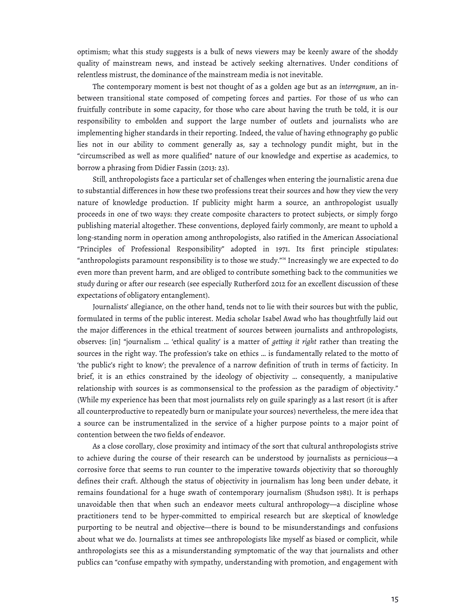optimism; what this study suggests is a bulk of news viewers may be keenly aware of the shoddy quality of mainstream news, and instead be actively seeking alternatives. Under conditions of relentless mistrust, the dominance of the mainstream media is not inevitable.

The contemporary moment is best not thought of as a golden age but as an *interregnum*, an inbetween transitional state composed of competing forces and parties. For those of us who can fruitfully contribute in some capacity, for those who care about having the truth be told, it is our responsibility to embolden and support the large number of outlets and journalists who are implementing higher standards in their reporting. Indeed, the value of having ethnography go public lies not in our ability to comment generally as, say a technology pundit might, but in the "circumscribed as well as more qualified" nature of our knowledge and expertise as academics, to borrow a phrasing from Didier Fassin (2013: 23).

Still, anthropologists face a particular set of challenges when entering the journalistic arena due to substantial differences in how these two professions treat their sources and how they view the very nature of knowledge production. If publicity might harm a source, an anthropologist usually proceeds in one of two ways: they create composite characters to protect subjects, or simply forgo publishing material altogether. These conventions, deployed fairly commonly, are meant to uphold a long-standing norm in operation among anthropologists, also ratified in the American Associational "Principles of Professional Responsibility" adopted in 1971. Its first principle stipulates: "anthropologists paramount responsibility is to those we study."<sup>14</sup> Increasingly we are expected to do even more than prevent harm, and are obliged to contribute something back to the communities we study during or after our research (see especially Rutherford 2012 for an excellent discussion of these expectations of obligatory entanglement).

Journalists' allegiance, on the other hand, tends not to lie with their sources but with the public, formulated in terms of the public interest. Media scholar Isabel Awad who has thoughtfully laid out the major differences in the ethical treatment of sources between journalists and anthropologists, observes: [in] "journalism … 'ethical quality' is a matter of *getting it right* rather than treating the sources in the right way. The profession's take on ethics … is fundamentally related to the motto of 'the public's right to know'; the prevalence of a narrow definition of truth in terms of facticity. In brief, it is an ethics constrained by the ideology of objectivity … consequently, a manipulative relationship with sources is as commonsensical to the profession as the paradigm of objectivity." (While my experience has been that most journalists rely on guile sparingly as a last resort (it is after all counterproductive to repeatedly burn or manipulate your sources) nevertheless, the mere idea that a source can be instrumentalized in the service of a higher purpose points to a major point of contention between the two fields of endeavor.

As a close corollary, close proximity and intimacy of the sort that cultural anthropologists strive to achieve during the course of their research can be understood by journalists as pernicious—a corrosive force that seems to run counter to the imperative towards objectivity that so thoroughly defines their craft. Although the status of objectivity in journalism has long been under debate, it remains foundational for a huge swath of contemporary journalism (Shudson 1981). It is perhaps unavoidable then that when such an endeavor meets cultural anthropology—a discipline whose practitioners tend to be hyper-committed to empirical research but are skeptical of knowledge purporting to be neutral and objective—there is bound to be misunderstandings and confusions about what we do. Journalists at times see anthropologists like myself as biased or complicit, while anthropologists see this as a misunderstanding symptomatic of the way that journalists and other publics can "confuse empathy with sympathy, understanding with promotion, and engagement with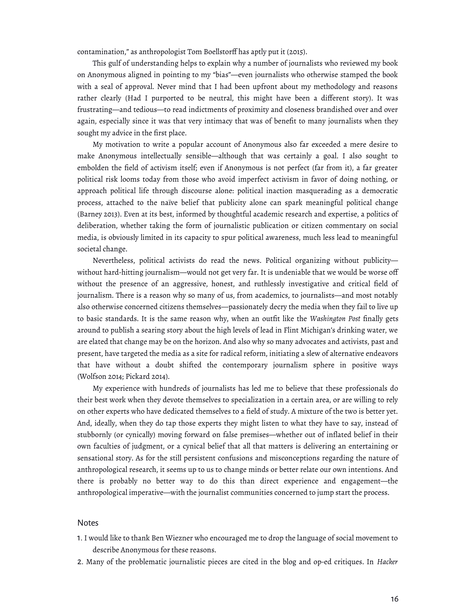contamination," as anthropologist Tom Boellstorff has aptly put it (2015).

This gulf of understanding helps to explain why a number of journalists who reviewed my book on Anonymous aligned in pointing to my "bias"—even journalists who otherwise stamped the book with a seal of approval. Never mind that I had been upfront about my methodology and reasons rather clearly (Had I purported to be neutral, this might have been a different story). It was frustrating—and tedious—to read indictments of proximity and closeness brandished over and over again, especially since it was that very intimacy that was of benefit to many journalists when they sought my advice in the first place.

My motivation to write a popular account of Anonymous also far exceeded a mere desire to make Anonymous intellectually sensible—although that was certainly a goal. I also sought to embolden the field of activism itself; even if Anonymous is not perfect (far from it), a far greater political risk looms today from those who avoid imperfect activism in favor of doing nothing, or approach political life through discourse alone: political inaction masquerading as a democratic process, attached to the naïve belief that publicity alone can spark meaningful political change (Barney 2013). Even at its best, informed by thoughtful academic research and expertise, a politics of deliberation, whether taking the form of journalistic publication or citizen commentary on social media, is obviously limited in its capacity to spur political awareness, much less lead to meaningful societal change.

Nevertheless, political activists do read the news. Political organizing without publicity without hard-hitting journalism—would not get very far. It is undeniable that we would be worse off without the presence of an aggressive, honest, and ruthlessly investigative and critical field of journalism. There is a reason why so many of us, from academics, to journalists—and most notably also otherwise concerned citizens themselves—passionately decry the media when they fail to live up to basic standards. It is the same reason why, when an outfit like the *Washington Post* finally gets around to publish a searing story about the high levels of lead in Flint Michigan's drinking water, we are elated that change may be on the horizon. And also why so many advocates and activists, past and present, have targeted the media as a site for radical reform, initiating a slew of alternative endeavors that have without a doubt shifted the contemporary journalism sphere in positive ways (Wolfson 2014; Pickard 2014).

My experience with hundreds of journalists has led me to believe that these professionals do their best work when they devote themselves to specialization in a certain area, or are willing to rely on other experts who have dedicated themselves to a field of study. A mixture of the two is better yet. And, ideally, when they do tap those experts they might listen to what they have to say, instead of stubbornly (or cynically) moving forward on false premises—whether out of inflated belief in their own faculties of judgment, or a cynical belief that all that matters is delivering an entertaining or sensational story. As for the still persistent confusions and misconceptions regarding the nature of anthropological research, it seems up to us to change minds or better relate our own intentions. And there is probably no better way to do this than direct experience and engagement—the anthropological imperative—with the journalist communities concerned to jump start the process.

#### Notes

- 1. I would like to thank Ben Wiezner who encouraged me to drop the language of social movement to describe Anonymous for these reasons.
- 2. Many of the problematic journalistic pieces are cited in the blog and op-ed critiques. In *Hacker*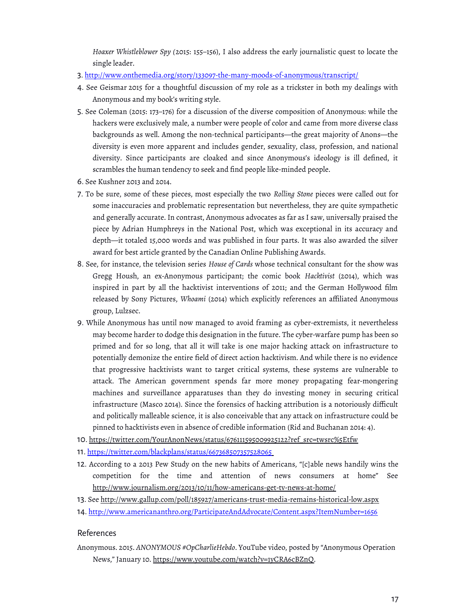*Hoaxer Whistleblower Spy (*2015: 155–156), I also address the early journalistic quest to locate the single leader.

- 3. <http://www.onthemedia.org/story/133097-the-many-moods-of-anonymous/transcript/>
- 4. See Geismar 2015 for a thoughtful discussion of my role as a trickster in both my dealings with Anonymous and my book's writing style.
- 5. See Coleman (2015: 173–176) for a discussion of the diverse composition of Anonymous: while the hackers were exclusively male, a number were people of color and came from more diverse class backgrounds as well. Among the non-technical participants—the great majority of Anons—the diversity is even more apparent and includes gender, sexuality, class, profession, and national diversity. Since participants are cloaked and since Anonymous's ideology is ill defined, it scrambles the human tendency to seek and find people like-minded people.
- 6. See Kushner 2013 and 2014.
- 7. To be sure, some of these pieces, most especially the two *Rolling Stone* pieces were called out for some inaccuracies and problematic representation but nevertheless, they are quite sympathetic and generally accurate. In contrast, Anonymous advocates as far as I saw, universally praised the piece by Adrian Humphreys in the National Post, which was exceptional in its accuracy and depth—it totaled 15,000 words and was published in four parts. It was also awarded the silver award for best article granted by the Canadian Online Publishing Awards.
- 8. See, for instance, the television series *House of Cards* whose technical consultant for the show was Gregg Housh, an ex-Anonymous participant; the comic book *Hacktivist* (2014), which was inspired in part by all the hacktivist interventions of 2011; and the German Hollywood film released by Sony Pictures, *Whoami* (2014) which explicitly references an affiliated Anonymous group, Lulzsec.
- 9. While Anonymous has until now managed to avoid framing as cyber-extremists, it nevertheless may become harder to dodge this designation in the future. The cyber-warfare pump has been so primed and for so long, that all it will take is one major hacking attack on infrastructure to potentially demonize the entire field of direct action hacktivism. And while there is no evidence that progressive hacktivists want to target critical systems, these systems are vulnerable to attack. The American government spends far more money propagating fear-mongering machines and surveillance apparatuses than they do investing money in securing critical infrastructure (Masco 2014). Since the forensics of hacking attribution is a notoriously difficult and politically malleable science, it is also conceivable that any attack on infrastructure could be pinned to hacktivists even in absence of credible information (Rid and Buchanan 2014: 4).
- 10. [https://twitter.com/YourAnonNews/status/676111595009925122?ref\\_src=twsrc%5Etfw](https://twitter.com/YourAnonNews/status/676111595009925122?ref_src=twsrc%5Etfw)
- 11.<https://twitter.com/blackplans/status/667368507357528065>
- 12. According to a 2013 Pew Study on the new habits of Americans, "[c]able news handily wins the competition for the time and attention of news consumers at home" See <http://www.journalism.org/2013/10/11/how-americans-get-tv-news-at-home/>
- 13. See<http://www.gallup.com/poll/185927/americans-trust-media-remains-historical-low.aspx>
- 14. <http://www.americananthro.org/ParticipateAndAdvocate/Content.aspx?ItemNumber=1656>

## References

Anonymous. 2015. *ANONYMOUS #OpCharlieHebdo*. YouTube video, posted by "Anonymous Operation News," January 10. [https://www.youtube.com/watch?v=1yCRA6cBZnQ.](https://www.youtube.com/watch?v=1yCRA6cBZnQ)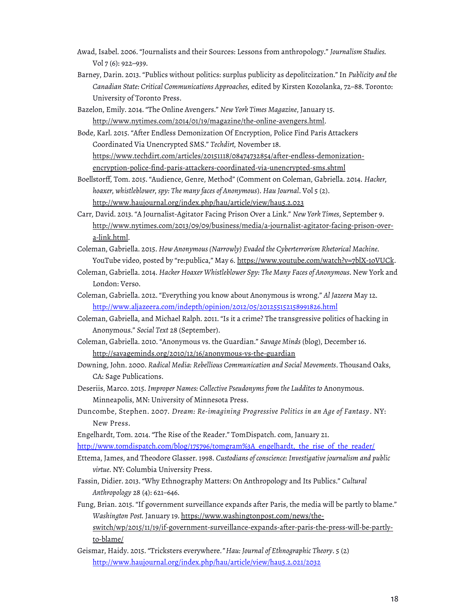- Awad, Isabel. 2006. "Journalists and their Sources: Lessons from anthropology." *Journalism Studies.*  Vol 7 (6): 922–939.
- Barney, Darin. 2013. "Publics without politics: surplus publicity as depolitcization." In *Publicity and the Canadian State: Critical Communications Approaches,* edited by Kirsten Kozolanka, 72–88. Toronto: University of Toronto Press.
- Bazelon, Emily. 2014. "The Online Avengers." *New York Times Magazine*, January 15. [http://www.nytimes.com/2014/01/19/magazine/the-online-avengers.html.](http://www.nytimes.com/2014/01/19/magazine/the-online-avengers.html)

Bode, Karl. 2015. "After Endless Demonization Of Encryption, Police Find Paris Attackers Coordinated Via Unencrypted SMS." *Techdirt,* November 18. [https://www.techdirt.com/articles/20151118/08474732854/after-endless-demonization](https://www.techdirt.com/articles/20151118/08474732854/after-endless-demonization-encryption-police-find-paris-attackers-coordinated-via-unencrypted-sms.shtml)[encryption-police-find-paris-attackers-coordinated-via-unencrypted-sms.shtml](https://www.techdirt.com/articles/20151118/08474732854/after-endless-demonization-encryption-police-find-paris-attackers-coordinated-via-unencrypted-sms.shtml)

Boellstorff*,* Tom. 2015. "Audience, Genre, Method" (Comment on Coleman, Gabriella. 2014. *Hacker, hoaxer, whistleblower, spy: The many faces of Anonymous*). *Hau Journal*. Vol 5 (2). <http://www.haujournal.org/index.php/hau/article/view/hau5.2.023>

Carr, David. 2013. "A Journalist-Agitator Facing Prison Over a Link." *New York Times*, September 9. [http://www.nytimes.com/2013/09/09/business/media/a-journalist-agitator-facing-prison-over](http://www.nytimes.com/2013/09/09/business/media/a-journalist-agitator-facing-prison-over-a-link.html)[a-link.html.](http://www.nytimes.com/2013/09/09/business/media/a-journalist-agitator-facing-prison-over-a-link.html)

Coleman, Gabriella. 2015. *How Anonymous (Narrowly) Evaded the Cyberterrorism Rhetorical Machine.*  YouTube video, posted by "re:publica," May 6. [https://www.youtube.com/watch?v=7blX-1oVUCk.](https://www.youtube.com/watch?v=7blX-1oVUCk)

- Coleman, Gabriella. 2014. *Hacker Hoaxer Whistleblower Spy: The Many Faces of Anonymous.* New York and London: Verso.
- Coleman, Gabriella. 2012. "Everything you know about Anonymous is wrong." *Al Jazeera* May 12. <http://www.aljazeera.com/indepth/opinion/2012/05/201255152158991826.html>
- Coleman, Gabriella, and Michael Ralph. 2011. "Is it a crime? The transgressive politics of hacking in Anonymous." *Social Text* 28 (September).

Coleman, Gabriella. 2010. "Anonymous vs. the Guardian." *Savage Minds* (blog), December 16. <http://savageminds.org/2010/12/16/anonymous-vs-the-guardian>

Downing, John. 2000. *Radical Media: Rebellious Communication and Social Movements*. Thousand Oaks, CA: Sage Publications.

Deseriis, Marco. 2015. *Improper Names: Collective Pseudonyms from the Luddites to* Anonymous. Minneapolis, MN: University of Minnesota Press.

Duncombe, Stephen. 2007. *Dream: Re-imagining Progressive Politics in an Age of Fantasy*. NY: New Press.

Engelhardt, Tom. 2014. "The Rise of the Reader." TomDispatch. com, January 21.

[http://www.tomdispatch.com/blog/175796/tomgram%3A\\_engelhardt,\\_the\\_rise\\_of\\_the\\_reader/](http://www.tomdispatch.com/blog/175796/tomgram%3A_engelhardt,_the_rise_of_the_reader/)

- Ettema, James, and Theodore Glasser. 1998. *Custodians of conscience: Investigative journalism and public virtue*. NY: Columbia University Press.
- Fassin, Didier. 2013. "Why Ethnography Matters: On Anthropology and Its Publics." *Cultural Anthropology* 28 (4): 621–646.

Fung, Brian. 2015. "If government surveillance expands after Paris, the media will be partly to blame." *Washington Post.* January 19. [https://www.washingtonpost.com/news/the-](https://www.washingtonpost.com/news/the-switch/wp/2015/11/19/if-government-surveillance-expands-after-paris-the-press-will-be-partly-to-blame/)

[switch/wp/2015/11/19/if-government-surveillance-expands-after-paris-the-press-will-be-partly](https://www.washingtonpost.com/news/the-switch/wp/2015/11/19/if-government-surveillance-expands-after-paris-the-press-will-be-partly-to-blame/)[to-blame/](https://www.washingtonpost.com/news/the-switch/wp/2015/11/19/if-government-surveillance-expands-after-paris-the-press-will-be-partly-to-blame/)

Geismar, Haidy. 2015. "Tricksters everywhere*." Hau: Journal of Ethnographic Theory*. 5 (2) <http://www.haujournal.org/index.php/hau/article/view/hau5.2.021/2032>